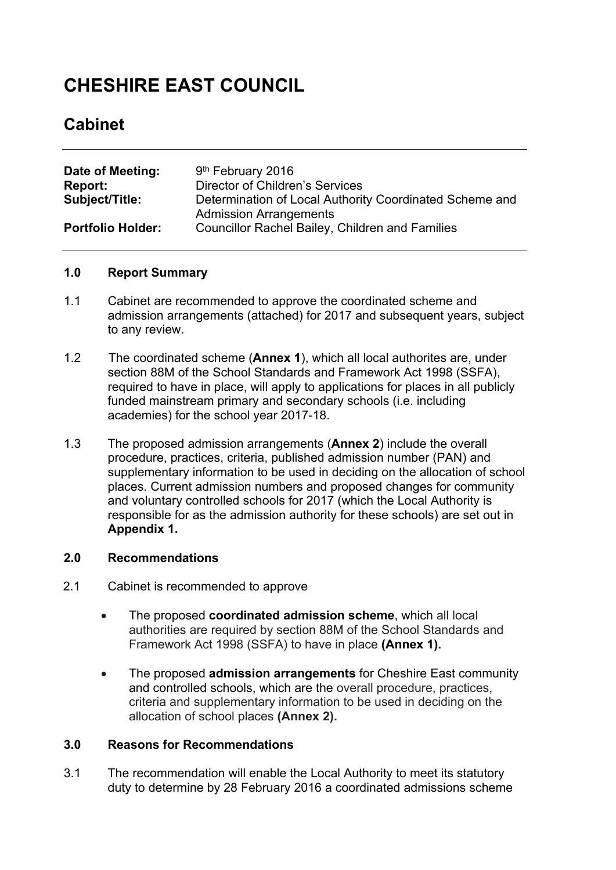# **CHESHIRE EAST COUNCIL**

# **Cabinet**

| Date of Meeting:         | 9 <sup>th</sup> February 2016                                                            |
|--------------------------|------------------------------------------------------------------------------------------|
| Report:                  | <b>Director of Children's Services</b>                                                   |
| <b>Subject/Title:</b>    | Determination of Local Authority Coordinated Scheme and<br><b>Admission Arrangements</b> |
| <b>Portfolio Holder:</b> | <b>Councillor Rachel Bailey, Children and Families</b>                                   |

#### **1.0 Report Summary**

- 1.1 Cabinet are recommended to approve the coordinated scheme and admission arrangements (attached) for 2017 and subsequent years, subject to any review.
- 1.2 The coordinated scheme (**Annex 1**), which all local authorites are, under section 88M of the School Standards and Framework Act 1998 (SSFA), required to have in place, will apply to applications for places in all publicly funded mainstream primary and secondary schools (i.e. including academies) for the school year 2017-18.
- 1.3 The proposed admission arrangements (**Annex 2**) include the overall procedure, practices, criteria, published admission number (PAN) and supplementary information to be used in deciding on the allocation of school places. Current admission numbers and proposed changes for community and voluntary controlled schools for 2017 (which the Local Authority is responsible for as the admission authority for these schools) are set out in **Appendix 1.**

# **2.0 Recommendations**

- 2.1 Cabinet is recommended to approve
	- The proposed **coordinated admission scheme**, which all local authorities are required by section 88M of the School Standards and Framework Act 1998 (SSFA) to have in place **(Annex 1).**
	- The proposed **admission arrangements** for Cheshire East community and controlled schools, which are the overall procedure, practices, criteria and supplementary information to be used in deciding on the allocation of school places **(Annex 2).**

## **3.0 Reasons for Recommendations**

3.1 The recommendation will enable the Local Authority to meet its statutory duty to determine by 28 February 2016 a coordinated admissions scheme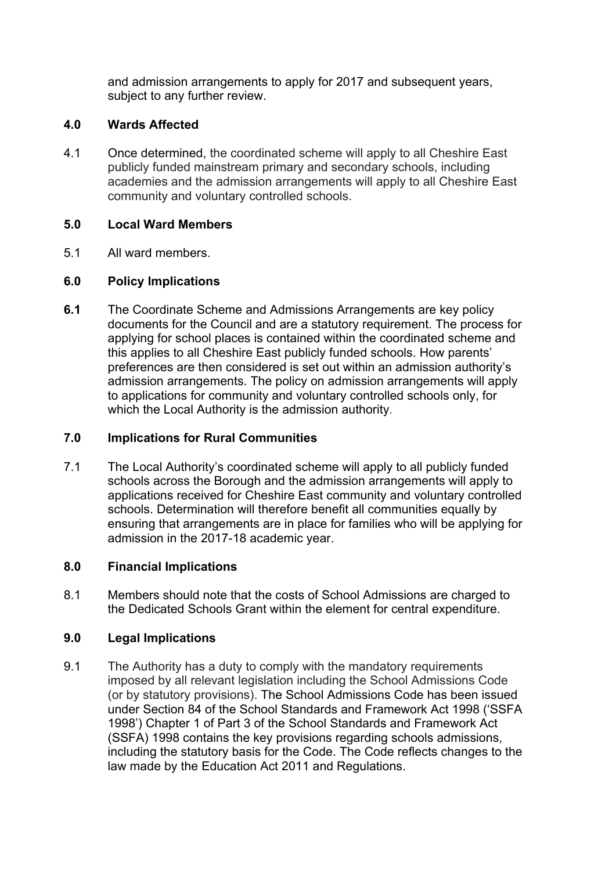and admission arrangements to apply for 2017 and subsequent years, subject to any further review.

# **4.0 Wards Affected**

4.1 Once determined, the coordinated scheme will apply to all Cheshire East publicly funded mainstream primary and secondary schools, including academies and the admission arrangements will apply to all Cheshire East community and voluntary controlled schools.

# **5.0 Local Ward Members**

5.1 All ward members.

# **6.0 Policy Implications**

**6.1** The Coordinate Scheme and Admissions Arrangements are key policy documents for the Council and are a statutory requirement. The process for applying for school places is contained within the coordinated scheme and this applies to all Cheshire East publicly funded schools. How parents' preferences are then considered is set out within an admission authority's admission arrangements. The policy on admission arrangements will apply to applications for community and voluntary controlled schools only, for which the Local Authority is the admission authority.

### **7.0 Implications for Rural Communities**

7.1 The Local Authority's coordinated scheme will apply to all publicly funded schools across the Borough and the admission arrangements will apply to applications received for Cheshire East community and voluntary controlled schools. Determination will therefore benefit all communities equally by ensuring that arrangements are in place for families who will be applying for admission in the 2017-18 academic year.

# **8.0 Financial Implications**

8.1 Members should note that the costs of School Admissions are charged to the Dedicated Schools Grant within the element for central expenditure.

#### **9.0 Legal Implications**

9.1 The Authority has a duty to comply with the mandatory requirements imposed by all relevant legislation including the School Admissions Code (or by statutory provisions). The School Admissions Code has been issued under Section 84 of the School Standards and Framework Act 1998 ('SSFA 1998') Chapter 1 of Part 3 of the School Standards and Framework Act (SSFA) 1998 contains the key provisions regarding schools admissions, including the statutory basis for the Code. The Code reflects changes to the law made by the Education Act 2011 and Regulations.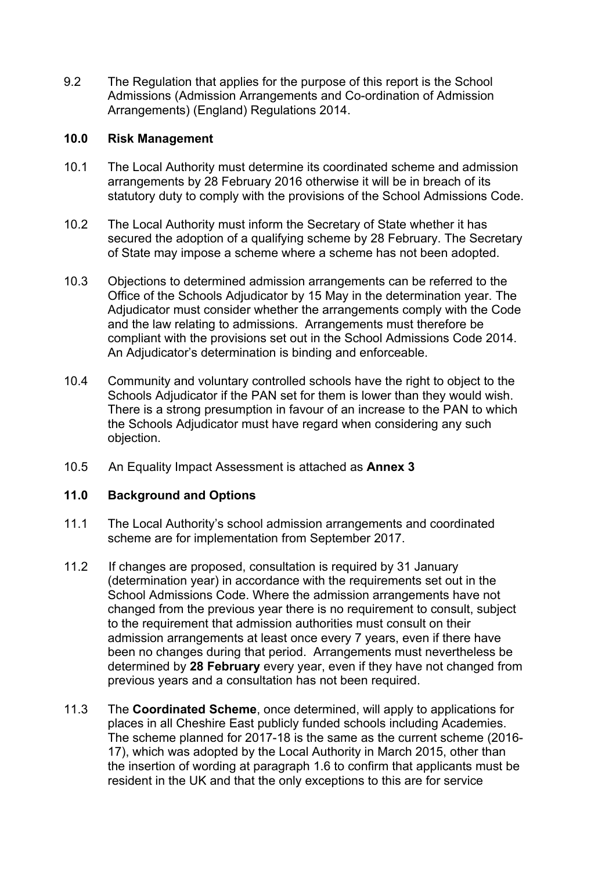9.2 The Regulation that applies for the purpose of this report is the School Admissions (Admission Arrangements and Co-ordination of Admission Arrangements) (England) Regulations 2014.

#### **10.0 Risk Management**

- 10.1 The Local Authority must determine its coordinated scheme and admission arrangements by 28 February 2016 otherwise it will be in breach of its statutory duty to comply with the provisions of the School Admissions Code.
- 10.2 The Local Authority must inform the Secretary of State whether it has secured the adoption of a qualifying scheme by 28 February. The Secretary of State may impose a scheme where a scheme has not been adopted.
- 10.3 Objections to determined admission arrangements can be referred to the Office of the Schools Adjudicator by 15 May in the determination year. The Adjudicator must consider whether the arrangements comply with the Code and the law relating to admissions. Arrangements must therefore be compliant with the provisions set out in the School Admissions Code 2014. An Adjudicator's determination is binding and enforceable.
- 10.4 Community and voluntary controlled schools have the right to object to the Schools Adjudicator if the PAN set for them is lower than they would wish. There is a strong presumption in favour of an increase to the PAN to which the Schools Adjudicator must have regard when considering any such objection.
- 10.5 An Equality Impact Assessment is attached as **Annex 3**

#### **11.0 Background and Options**

- 11.1 The Local Authority's school admission arrangements and coordinated scheme are for implementation from September 2017.
- 11.2 If changes are proposed, consultation is required by 31 January (determination year) in accordance with the requirements set out in the School Admissions Code. Where the admission arrangements have not changed from the previous year there is no requirement to consult, subject to the requirement that admission authorities must consult on their admission arrangements at least once every 7 years, even if there have been no changes during that period. Arrangements must nevertheless be determined by **28 February** every year, even if they have not changed from previous years and a consultation has not been required.
- 11.3 The **Coordinated Scheme**, once determined, will apply to applications for places in all Cheshire East publicly funded schools including Academies. The scheme planned for 2017-18 is the same as the current scheme (2016- 17), which was adopted by the Local Authority in March 2015, other than the insertion of wording at paragraph 1.6 to confirm that applicants must be resident in the UK and that the only exceptions to this are for service